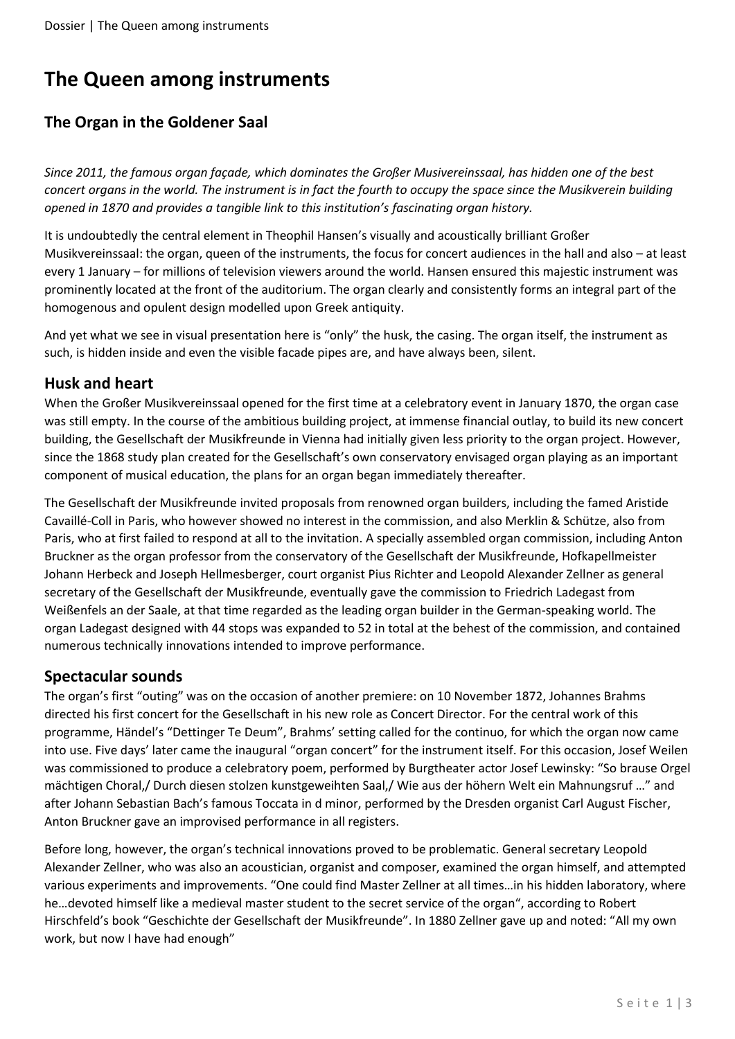# **The Queen among instruments**

# **The Organ in the Goldener Saal**

*Since 2011, the famous organ façade, which dominates the Großer Musivereinssaal, has hidden one of the best concert organs in the world. The instrument is in fact the fourth to occupy the space since the Musikverein building opened in 1870 and provides a tangible link to this institution's fascinating organ history.*

It is undoubtedly the central element in Theophil Hansen's visually and acoustically brilliant Großer Musikvereinssaal: the organ, queen of the instruments, the focus for concert audiences in the hall and also – at least every 1 January – for millions of television viewers around the world. Hansen ensured this majestic instrument was prominently located at the front of the auditorium. The organ clearly and consistently forms an integral part of the homogenous and opulent design modelled upon Greek antiquity.

And yet what we see in visual presentation here is "only" the husk, the casing. The organ itself, the instrument as such, is hidden inside and even the visible facade pipes are, and have always been, silent.

## **Husk and heart**

When the Großer Musikvereinssaal opened for the first time at a celebratory event in January 1870, the organ case was still empty. In the course of the ambitious building project, at immense financial outlay, to build its new concert building, the Gesellschaft der Musikfreunde in Vienna had initially given less priority to the organ project. However, since the 1868 study plan created for the Gesellschaft's own conservatory envisaged organ playing as an important component of musical education, the plans for an organ began immediately thereafter.

The Gesellschaft der Musikfreunde invited proposals from renowned organ builders, including the famed Aristide Cavaillé-Coll in Paris, who however showed no interest in the commission, and also Merklin & Schütze, also from Paris, who at first failed to respond at all to the invitation. A specially assembled organ commission, including Anton Bruckner as the organ professor from the conservatory of the Gesellschaft der Musikfreunde, Hofkapellmeister Johann Herbeck and Joseph Hellmesberger, court organist Pius Richter and Leopold Alexander Zellner as general secretary of the Gesellschaft der Musikfreunde, eventually gave the commission to Friedrich Ladegast from Weißenfels an der Saale, at that time regarded as the leading organ builder in the German-speaking world. The organ Ladegast designed with 44 stops was expanded to 52 in total at the behest of the commission, and contained numerous technically innovations intended to improve performance.

# **Spectacular sounds**

The organ's first "outing" was on the occasion of another premiere: on 10 November 1872, Johannes Brahms directed his first concert for the Gesellschaft in his new role as Concert Director. For the central work of this programme, Händel's "Dettinger Te Deum", Brahms' setting called for the continuo, for which the organ now came into use. Five days' later came the inaugural "organ concert" for the instrument itself. For this occasion, Josef Weilen was commissioned to produce a celebratory poem, performed by Burgtheater actor Josef Lewinsky: "So brause Orgel mächtigen Choral,/ Durch diesen stolzen kunstgeweihten Saal,/ Wie aus der höhern Welt ein Mahnungsruf …" and after Johann Sebastian Bach's famous Toccata in d minor, performed by the Dresden organist Carl August Fischer, Anton Bruckner gave an improvised performance in all registers.

Before long, however, the organ's technical innovations proved to be problematic. General secretary Leopold Alexander Zellner, who was also an acoustician, organist and composer, examined the organ himself, and attempted various experiments and improvements. "One could find Master Zellner at all times…in his hidden laboratory, where he…devoted himself like a medieval master student to the secret service of the organ", according to Robert Hirschfeld's book "Geschichte der Gesellschaft der Musikfreunde". In 1880 Zellner gave up and noted: "All my own work, but now I have had enough"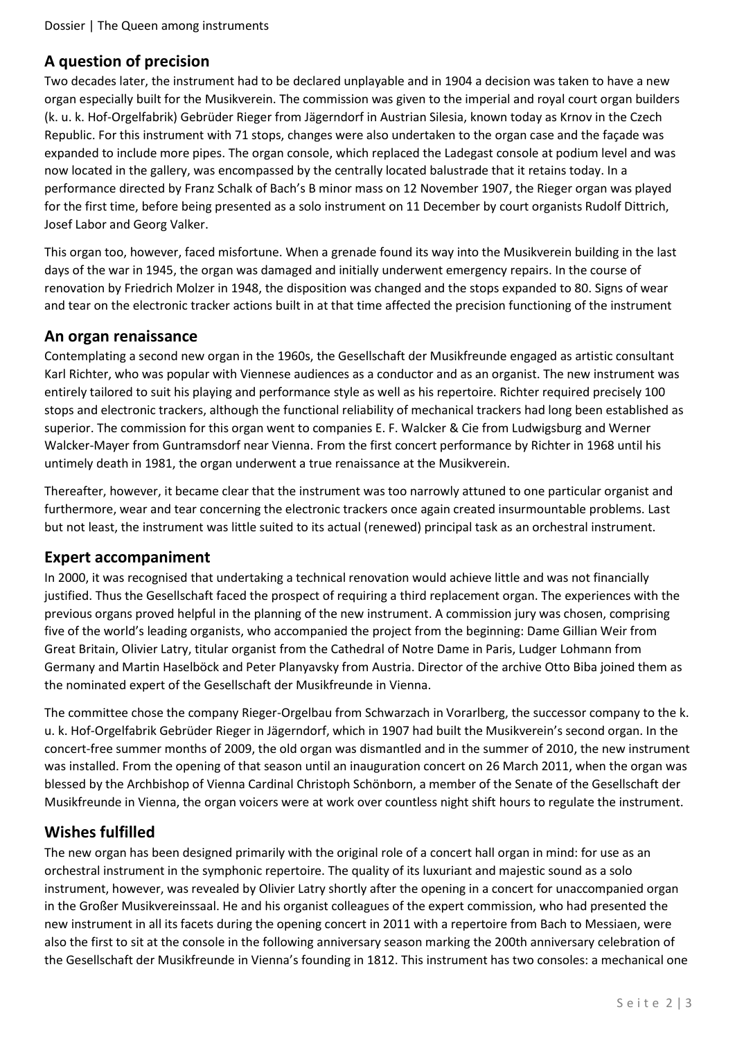# **A question of precision**

Two decades later, the instrument had to be declared unplayable and in 1904 a decision was taken to have a new organ especially built for the Musikverein. The commission was given to the imperial and royal court organ builders (k. u. k. Hof-Orgelfabrik) Gebrüder Rieger from Jägerndorf in Austrian Silesia, known today as Krnov in the Czech Republic. For this instrument with 71 stops, changes were also undertaken to the organ case and the façade was expanded to include more pipes. The organ console, which replaced the Ladegast console at podium level and was now located in the gallery, was encompassed by the centrally located balustrade that it retains today. In a performance directed by Franz Schalk of Bach's B minor mass on 12 November 1907, the Rieger organ was played for the first time, before being presented as a solo instrument on 11 December by court organists Rudolf Dittrich, Josef Labor and Georg Valker.

This organ too, however, faced misfortune. When a grenade found its way into the Musikverein building in the last days of the war in 1945, the organ was damaged and initially underwent emergency repairs. In the course of renovation by Friedrich Molzer in 1948, the disposition was changed and the stops expanded to 80. Signs of wear and tear on the electronic tracker actions built in at that time affected the precision functioning of the instrument

## **An organ renaissance**

Contemplating a second new organ in the 1960s, the Gesellschaft der Musikfreunde engaged as artistic consultant Karl Richter, who was popular with Viennese audiences as a conductor and as an organist. The new instrument was entirely tailored to suit his playing and performance style as well as his repertoire. Richter required precisely 100 stops and electronic trackers, although the functional reliability of mechanical trackers had long been established as superior. The commission for this organ went to companies E. F. Walcker & Cie from Ludwigsburg and Werner Walcker-Mayer from Guntramsdorf near Vienna. From the first concert performance by Richter in 1968 until his untimely death in 1981, the organ underwent a true renaissance at the Musikverein.

Thereafter, however, it became clear that the instrument was too narrowly attuned to one particular organist and furthermore, wear and tear concerning the electronic trackers once again created insurmountable problems. Last but not least, the instrument was little suited to its actual (renewed) principal task as an orchestral instrument.

#### **Expert accompaniment**

In 2000, it was recognised that undertaking a technical renovation would achieve little and was not financially justified. Thus the Gesellschaft faced the prospect of requiring a third replacement organ. The experiences with the previous organs proved helpful in the planning of the new instrument. A commission jury was chosen, comprising five of the world's leading organists, who accompanied the project from the beginning: Dame Gillian Weir from Great Britain, Olivier Latry, titular organist from the Cathedral of Notre Dame in Paris, Ludger Lohmann from Germany and Martin Haselböck and Peter Planyavsky from Austria. Director of the archive Otto Biba joined them as the nominated expert of the Gesellschaft der Musikfreunde in Vienna.

The committee chose the company Rieger-Orgelbau from Schwarzach in Vorarlberg, the successor company to the k. u. k. Hof-Orgelfabrik Gebrüder Rieger in Jägerndorf, which in 1907 had built the Musikverein's second organ. In the concert-free summer months of 2009, the old organ was dismantled and in the summer of 2010, the new instrument was installed. From the opening of that season until an inauguration concert on 26 March 2011, when the organ was blessed by the Archbishop of Vienna Cardinal Christoph Schönborn, a member of the Senate of the Gesellschaft der Musikfreunde in Vienna, the organ voicers were at work over countless night shift hours to regulate the instrument.

# **Wishes fulfilled**

The new organ has been designed primarily with the original role of a concert hall organ in mind: for use as an orchestral instrument in the symphonic repertoire. The quality of its luxuriant and majestic sound as a solo instrument, however, was revealed by Olivier Latry shortly after the opening in a concert for unaccompanied organ in the Großer Musikvereinssaal. He and his organist colleagues of the expert commission, who had presented the new instrument in all its facets during the opening concert in 2011 with a repertoire from Bach to Messiaen, were also the first to sit at the console in the following anniversary season marking the 200th anniversary celebration of the Gesellschaft der Musikfreunde in Vienna's founding in 1812. This instrument has two consoles: a mechanical one